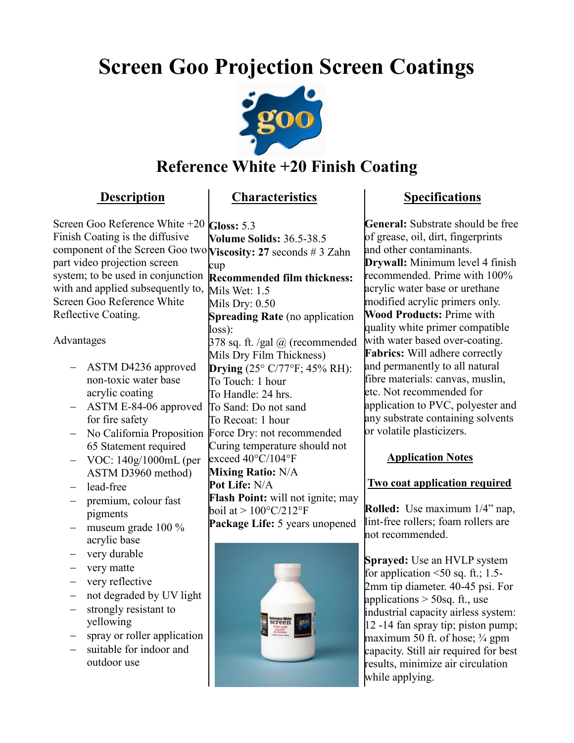# **Screen Goo Projection Screen Coatings**



## **Reference White +20 Finish Coating**

### **Description**

## **Characteristics**

Screen Goo Reference White +20 **Gloss:** 5.3 Finish Coating is the diffusive component of the Screen Goo two **Viscosity: 27** seconds # 3 Zahn part video projection screen system; to be used in conjunction with and applied subsequently to, Screen Goo Reference White Reflective Coating.

### Advantages

- ASTM D4236 approved non-toxic water base acrylic coating
- ASTM E-84-06 approved for fire safety
- 65 Statement required
- VOC: 140g/1000mL (per ASTM D3960 method)
- lead-free
- premium, colour fast pigments
- $-$  museum grade 100  $\%$ acrylic base
- very durable
- very matte
- very reflective
- not degraded by UV light
- strongly resistant to yellowing
- spray or roller application
- suitable for indoor and outdoor use

- No California Proposition Force Dry: not recommended **Volume Solids:** 36.5-38.5 cup **Recommended film thickness:** Mils Wet: 1.5 Mils Dry: 0.50 **Spreading Rate** (no application loss):  $378$  sq. ft. /gal  $\omega$  (recommended Mils Dry Film Thickness) **Drying** (25° C/77°F; 45% RH): To Touch: 1 hour To Handle: 24 hrs. To Sand: Do not sand To Recoat: 1 hour Curing temperature should not exceed 40°C/104°F **Mixing Ratio:** N/A **Pot Life:** N/A **Flash Point:** will not ignite; may boil at  $> 100^{\circ}$ C/212°F **Package Life:** 5 years unopened



## **Specifications**

**General:** Substrate should be free of grease, oil, dirt, fingerprints and other contaminants. **Drywall:** Minimum level 4 finish recommended. Prime with 100% acrylic water base or urethane modified acrylic primers only. **Wood Products:** Prime with quality white primer compatible with water based over-coating. **Fabrics:** Will adhere correctly and permanently to all natural fibre materials: canvas, muslin, etc. Not recommended for application to PVC, polyester and any substrate containing solvents or volatile plasticizers.

### **Application Notes**

### **Two coat application required**

 **Rolled:** Use maximum 1/4" nap, lint-free rollers; foam rollers are not recommended.

**Sprayed:** Use an HVLP system for application  $\leq 50$  sq. ft.; 1.5-2mm tip diameter. 40-45 psi. For applications  $>$  50sq. ft., use industrial capacity airless system: 12 -14 fan spray tip; piston pump; maximum 50 ft. of hose;  $\frac{3}{4}$  gpm capacity. Still air required for best results, minimize air circulation while applying.